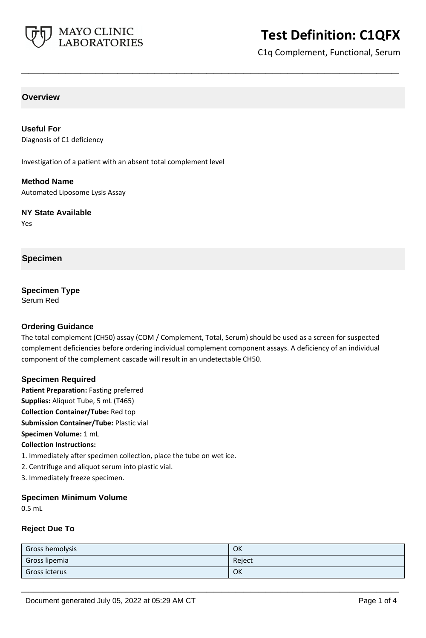

# **Test Definition: C1QFX**

C1q Complement, Functional, Serum

# **Overview**

**Useful For** Diagnosis of C1 deficiency

Investigation of a patient with an absent total complement level

**Method Name** Automated Liposome Lysis Assay

**NY State Available**

Yes

# **Specimen**

**Specimen Type** Serum Red

# **Ordering Guidance**

The total complement (CH50) assay (COM / Complement, Total, Serum) should be used as a screen for suspected complement deficiencies before ordering individual complement component assays. A deficiency of an individual component of the complement cascade will result in an undetectable CH50.

**\_\_\_\_\_\_\_\_\_\_\_\_\_\_\_\_\_\_\_\_\_\_\_\_\_\_\_\_\_\_\_\_\_\_\_\_\_\_\_\_\_\_\_\_\_\_\_\_\_\_\_**

# **Specimen Required**

**Patient Preparation:** Fasting preferred **Supplies:** Aliquot Tube, 5 mL (T465) **Collection Container/Tube:** Red top **Submission Container/Tube:** Plastic vial **Specimen Volume:** 1 mL **Collection Instructions:** 1. Immediately after specimen collection, place the tube on wet ice.

2. Centrifuge and aliquot serum into plastic vial.

3. Immediately freeze specimen.

# **Specimen Minimum Volume**

0.5 mL

# **Reject Due To**

| Gross hemolysis | OK     |
|-----------------|--------|
| Gross lipemia   | Reject |
| Gross icterus   | OK     |

**\_\_\_\_\_\_\_\_\_\_\_\_\_\_\_\_\_\_\_\_\_\_\_\_\_\_\_\_\_\_\_\_\_\_\_\_\_\_\_\_\_\_\_\_\_\_\_\_\_\_\_**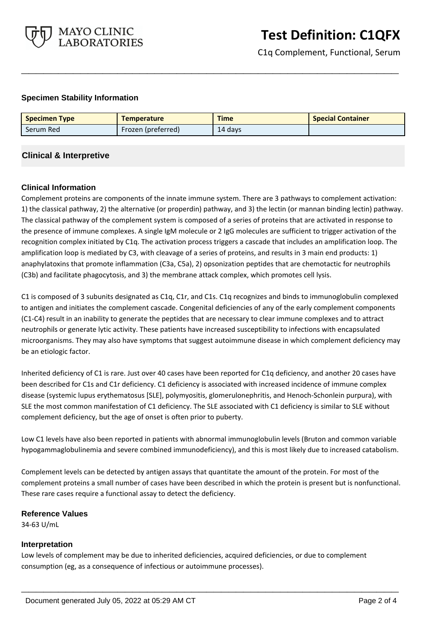

C1q Complement, Functional, Serum

# **Specimen Stability Information**

| <b>Specimen Type</b> | <b>Temperature</b>        | <b>Time</b> | <b>Special Container</b> |
|----------------------|---------------------------|-------------|--------------------------|
| Serum Red            | <b>Frozen</b> (preferred) | 14 days     |                          |

**\_\_\_\_\_\_\_\_\_\_\_\_\_\_\_\_\_\_\_\_\_\_\_\_\_\_\_\_\_\_\_\_\_\_\_\_\_\_\_\_\_\_\_\_\_\_\_\_\_\_\_**

# **Clinical & Interpretive**

#### **Clinical Information**

Complement proteins are components of the innate immune system. There are 3 pathways to complement activation: 1) the classical pathway, 2) the alternative (or properdin) pathway, and 3) the lectin (or mannan binding lectin) pathway. The classical pathway of the complement system is composed of a series of proteins that are activated in response to the presence of immune complexes. A single IgM molecule or 2 IgG molecules are sufficient to trigger activation of the recognition complex initiated by C1q. The activation process triggers a cascade that includes an amplification loop. The amplification loop is mediated by C3, with cleavage of a series of proteins, and results in 3 main end products: 1) anaphylatoxins that promote inflammation (C3a, C5a), 2) opsonization peptides that are chemotactic for neutrophils (C3b) and facilitate phagocytosis, and 3) the membrane attack complex, which promotes cell lysis.

C1 is composed of 3 subunits designated as C1q, C1r, and C1s. C1q recognizes and binds to immunoglobulin complexed to antigen and initiates the complement cascade. Congenital deficiencies of any of the early complement components (C1-C4) result in an inability to generate the peptides that are necessary to clear immune complexes and to attract neutrophils or generate lytic activity. These patients have increased susceptibility to infections with encapsulated microorganisms. They may also have symptoms that suggest autoimmune disease in which complement deficiency may be an etiologic factor.

Inherited deficiency of C1 is rare. Just over 40 cases have been reported for C1q deficiency, and another 20 cases have been described for C1s and C1r deficiency. C1 deficiency is associated with increased incidence of immune complex disease (systemic lupus erythematosus [SLE], polymyositis, glomerulonephritis, and Henoch-Schonlein purpura), with SLE the most common manifestation of C1 deficiency. The SLE associated with C1 deficiency is similar to SLE without complement deficiency, but the age of onset is often prior to puberty.

Low C1 levels have also been reported in patients with abnormal immunoglobulin levels (Bruton and common variable hypogammaglobulinemia and severe combined immunodeficiency), and this is most likely due to increased catabolism.

Complement levels can be detected by antigen assays that quantitate the amount of the protein. For most of the complement proteins a small number of cases have been described in which the protein is present but is nonfunctional. These rare cases require a functional assay to detect the deficiency.

**\_\_\_\_\_\_\_\_\_\_\_\_\_\_\_\_\_\_\_\_\_\_\_\_\_\_\_\_\_\_\_\_\_\_\_\_\_\_\_\_\_\_\_\_\_\_\_\_\_\_\_**

#### **Reference Values**

34-63 U/mL

#### **Interpretation**

Low levels of complement may be due to inherited deficiencies, acquired deficiencies, or due to complement consumption (eg, as a consequence of infectious or autoimmune processes).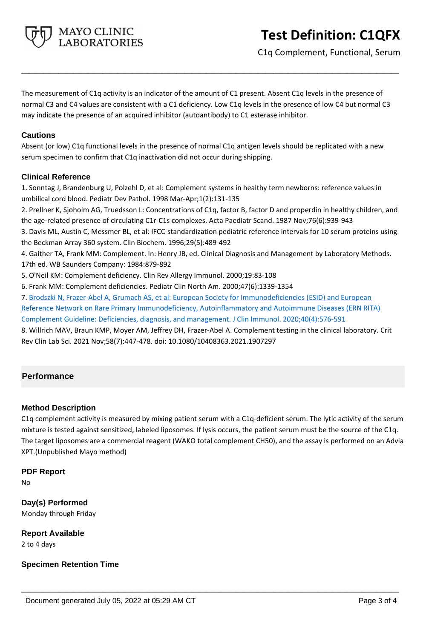

C1q Complement, Functional, Serum

The measurement of C1q activity is an indicator of the amount of C1 present. Absent C1q levels in the presence of normal C3 and C4 values are consistent with a C1 deficiency. Low C1q levels in the presence of low C4 but normal C3 may indicate the presence of an acquired inhibitor (autoantibody) to C1 esterase inhibitor.

**\_\_\_\_\_\_\_\_\_\_\_\_\_\_\_\_\_\_\_\_\_\_\_\_\_\_\_\_\_\_\_\_\_\_\_\_\_\_\_\_\_\_\_\_\_\_\_\_\_\_\_**

# **Cautions**

Absent (or low) C1q functional levels in the presence of normal C1q antigen levels should be replicated with a new serum specimen to confirm that C1q inactivation did not occur during shipping.

# **Clinical Reference**

1. Sonntag J, Brandenburg U, Polzehl D, et al: Complement systems in healthy term newborns: reference values in umbilical cord blood. Pediatr Dev Pathol. 1998 Mar-Apr;1(2):131-135

2. Prellner K, Sjoholm AG, Truedsson L: Concentrations of C1q, factor B, factor D and properdin in healthy children, and the age-related presence of circulating C1r-C1s complexes. Acta Paediatr Scand. 1987 Nov;76(6):939-943

3. Davis ML, Austin C, Messmer BL, et al: IFCC-standardization pediatric reference intervals for 10 serum proteins using the Beckman Array 360 system. Clin Biochem. 1996;29(5):489-492

4. Gaither TA, Frank MM: Complement. In: Henry JB, ed. Clinical Diagnosis and Management by Laboratory Methods. 17th ed. WB Saunders Company: 1984:879-892

5. O'Neil KM: Complement deficiency. Clin Rev Allergy Immunol. 2000;19:83-108

6. Frank MM: Complement deficiencies. Pediatr Clin North Am. 2000;47(6):1339-1354

7. Brodszki N, Frazer-Abel A, Grumach AS, et al: European Society for Immunodeficiencies (ESID) and European Reference Network on Rare Primary Immunodeficiency, Autoinflammatory and Autoimmune Diseases (ERN RITA) Complement Guideline: Deficiencies, diagnosis, and management. J Clin Immunol. 2020;40(4):576-591

8. Willrich MAV, Braun KMP, Moyer AM, Jeffrey DH, Frazer-Abel A. Complement testing in the clinical laboratory. Crit Rev Clin Lab Sci. 2021 Nov;58(7):447-478. doi: 10.1080/10408363.2021.1907297

# **Performance**

# **Method Description**

C1q complement activity is measured by mixing patient serum with a C1q-deficient serum. The lytic activity of the serum mixture is tested against sensitized, labeled liposomes. If lysis occurs, the patient serum must be the source of the C1q. The target liposomes are a commercial reagent (WAKO total complement CH50), and the assay is performed on an Advia XPT.(Unpublished Mayo method)

**\_\_\_\_\_\_\_\_\_\_\_\_\_\_\_\_\_\_\_\_\_\_\_\_\_\_\_\_\_\_\_\_\_\_\_\_\_\_\_\_\_\_\_\_\_\_\_\_\_\_\_**

# **PDF Report**

No

**Day(s) Performed** Monday through Friday

**Report Available** 2 to 4 days

**Specimen Retention Time**